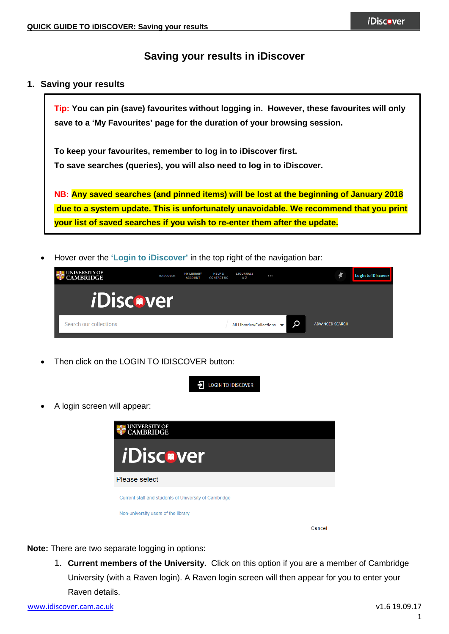# **Saving your results in iDiscover**

## **1. Saving your results**

**Tip: You can pin (save) favourites without logging in. However, these favourites will only save to a 'My Favourites' page for the duration of your browsing session.** 

**To keep your favourites, remember to log in to iDiscover first. To save searches (queries), you will also need to log in to iDiscover.**

**NB: Any saved searches (and pinned items) will be lost at the beginning of January 2018 due to a system update. This is unfortunately unavoidable. We recommend that you print your list of saved searches if you wish to re-enter them after the update.**

• Hover over the **'Login to iDiscover'** in the top right of the navigation bar:

| <b>EXAMPLE UNIVERSITY OF</b> | <b>IDISCOVER</b> | <b>MY LIBRARY</b><br><b>ACCOUNT</b> | <b>HELP &amp;</b><br><b>CONTACT US</b> | <b>EJOURNALS</b><br>A-Z   |   |                        | Login to iDiscover |
|------------------------------|------------------|-------------------------------------|----------------------------------------|---------------------------|---|------------------------|--------------------|
| <i><b>iDiscover</b></i>      |                  |                                     |                                        |                           |   |                        |                    |
| Search our collections       |                  |                                     |                                        | All Libraries/Collections | Q | <b>ADVANCED SEARCH</b> |                    |

Then click on the LOGIN TO IDISCOVER button:



• A login screen will appear:



**Note:** There are two separate logging in options:

1. **Current members of the University.** Click on this option if you are a member of Cambridge University (with a Raven login). A Raven login screen will then appear for you to enter your Raven details.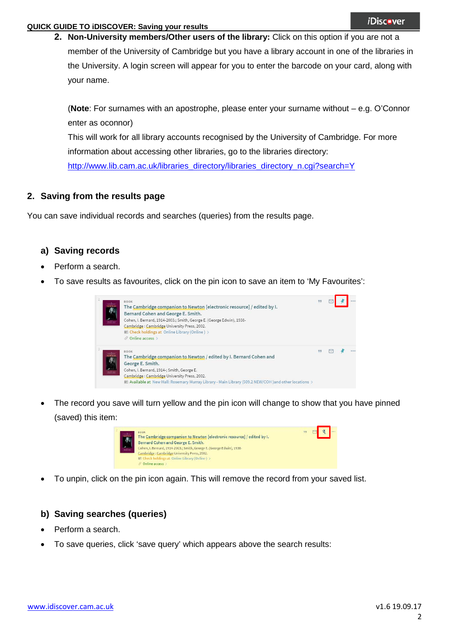### **QUICK GUIDE TO iDISCOVER: Saving your results**

**2. Non-University members/Other users of the library:** Click on this option if you are not a member of the University of Cambridge but you have a library account in one of the libraries in the University. A login screen will appear for you to enter the barcode on your card, along with your name.

(**Note**: For surnames with an apostrophe, please enter your surname without – e.g. O'Connor enter as oconnor)

This will work for all library accounts recognised by the University of Cambridge. For more information about accessing other libraries, go to the libraries directory:

[http://www.lib.cam.ac.uk/libraries\\_directory/libraries\\_directory\\_n.cgi?search=Y](http://www.lib.cam.ac.uk/libraries_directory/libraries_directory_n.cgi?search=Y)

## **2. Saving from the results page**

You can save individual records and searches (queries) from the results page.

## **a) Saving records**

- Perform a search.
- To save results as favourites, click on the pin icon to save an item to 'My Favourites':

| ħ | <b>BOOK</b><br>The Cambridge companion to Newton [electronic resource] / edited by I.<br>Bernard Cohen and George E. Smith.<br>Cohen, I. Bernard, 1914-2003.; Smith, George E. (George Edwin), 1938-<br>Cambridge: Cambridge University Press, 2002.<br>LA Check holdings at Online Library (Online) ><br>$\mathcal O$ Online access $\lambda$ |  |  |
|---|------------------------------------------------------------------------------------------------------------------------------------------------------------------------------------------------------------------------------------------------------------------------------------------------------------------------------------------------|--|--|
|   | <b>BOOK</b><br>The Cambridge companion to Newton / edited by I. Bernard Cohen and<br>George E. Smith.<br>Cohen, I. Bernard, 1914-; Smith, George E.<br>Cambridge: Cambridge University Press, 2002.<br>M. Available at New Hall: Rosemary Murray Library - Main Library (509.2 NEW/COH) and other locations >                                  |  |  |

The record you save will turn yellow and the pin icon will change to show that you have pinned (saved) this item:



• To unpin, click on the pin icon again. This will remove the record from your saved list.

## **b) Saving searches (queries)**

- Perform a search.
- To save queries, click 'save query' which appears above the search results: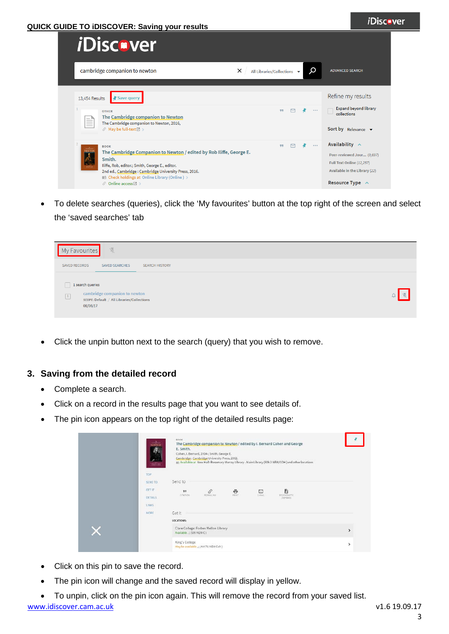#### **QUICK GUIDE TO iDISCOVER: Saving your results**

| <i>i</i> Discover                                                                                                                                                                                                                                                                                     |                                                          |                                                                                                                                         |
|-------------------------------------------------------------------------------------------------------------------------------------------------------------------------------------------------------------------------------------------------------------------------------------------------------|----------------------------------------------------------|-----------------------------------------------------------------------------------------------------------------------------------------|
| cambridge companion to newton                                                                                                                                                                                                                                                                         | Ω<br>×<br>All Libraries/Collections $\blacktriangledown$ | <b>ADVANCED SEARCH</b>                                                                                                                  |
| 13,454 Results<br>' Save query<br><b>OTHER</b><br>The Cambridge companion to Newton<br>≣<br>The Cambridge companion to Newton, 2016,<br>$\mathcal{O}$ May be full-text $\boxtimes$                                                                                                                    | 99<br>0.0.0                                              | Refine my results<br>Expand beyond library<br>collections<br>Sort by Relevance $\blacktriangledown$                                     |
| <b>BOOK</b><br><b>EWTO</b><br>The Cambridge Companion to Newton / edited by Rob Iliffe, George E.<br>Smith.<br>Iliffe, Rob, editor.; Smith, George E., editor.<br>2nd ed., Cambridge: Cambridge University Press, 2016.<br><b>M</b> Check holdings at Online Library (Online) ><br>⊙ Online access⊠ > | 0.0.0<br>99                                              | Availability $\sim$<br>Peer-reviewed Jour (9,697)<br>Full Text Online (12,257)<br>Available in the Library (22)<br>Resource Type $\sim$ |

• To delete searches (queries), click the 'My favourites' button at the top right of the screen and select the 'saved searches' tab



• Click the unpin button next to the search (query) that you wish to remove.

### **3. Saving from the detailed record**

- Complete a search.
- Click on a record in the results page that you want to see details of.
- The pin icon appears on the top right of the detailed results page:

| <b>SERTON</b><br><b>STATISTICS</b> | E. Smith.                | Cohen, I. Bernard, 1914-; Smith, George E.<br>Cambridge : Cambridge University Press, 2002. |                  |        | The Cambridge companion to Newton / edited by I. Bernard Cohen and George<br>ne Available at New Hall: Rosemary Murray Library - Main Library (509.2 NEW/COH ) and other locations |               |
|------------------------------------|--------------------------|---------------------------------------------------------------------------------------------|------------------|--------|------------------------------------------------------------------------------------------------------------------------------------------------------------------------------------|---------------|
| TOP.                               |                          |                                                                                             |                  |        |                                                                                                                                                                                    |               |
| <b>SEND TO</b>                     | Send to                  |                                                                                             |                  |        |                                                                                                                                                                                    |               |
| GET IT                             | 99                       | $\mathcal{P}$                                                                               | $\ddot{\bullet}$ | ⊡      | B                                                                                                                                                                                  |               |
| DETAILS                            | EITATION                 | PERMALINE                                                                                   | <b>PRINT</b>     | E-MAIL | <b>RIS/ENDNOTE</b><br>(ZOTERO)                                                                                                                                                     |               |
| <b>LINKS</b>                       |                          |                                                                                             |                  |        |                                                                                                                                                                                    |               |
| MORE                               | Getit                    |                                                                                             |                  |        |                                                                                                                                                                                    |               |
|                                    | LOCATIONS:               |                                                                                             |                  |        |                                                                                                                                                                                    |               |
|                                    | Available, ; (509 NEW-C) | Clare College: Forbes Mellon Library                                                        |                  |        |                                                                                                                                                                                    | $\mathcal{P}$ |
|                                    | King's College           | May be available, ; (AM 76 NEW Coh)                                                         |                  |        |                                                                                                                                                                                    | $\rightarrow$ |

- Click on this pin to save the record.
- The pin icon will change and the saved record will display in yellow.
- [www.idiscover.cam.ac.uk](http://www.idiscover.cam.ac.uk/) v1.6 19.09.17 • To unpin, click on the pin icon again. This will remove the record from your saved list.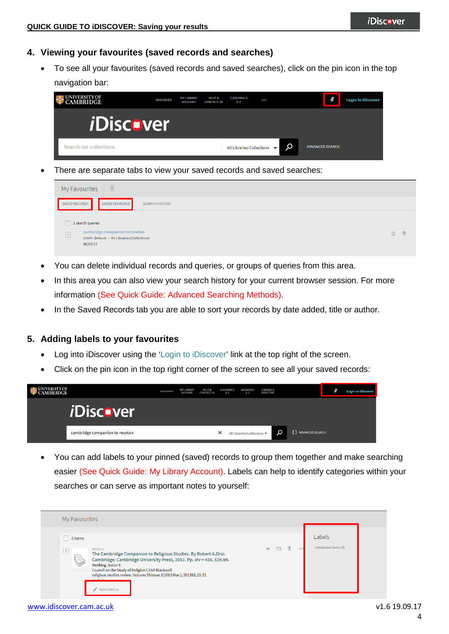## **4. Viewing your favourites (saved records and searches)**

• To see all your favourites (saved records and saved searches), click on the pin icon in the top navigation bar:

| <b>IVERSITY OF</b><br><b>CAMBRIDGE</b> | <b>IDISCOVER</b> | <b>MY LIBRARY</b><br><b>ACCOUNT</b> | <b>HELP &amp;</b><br><b>CONTACT US</b> | <b>EJOURNALS</b><br>$A - Z$                    | $\begin{array}{ccc}\n\bullet & \bullet & \bullet & \bullet\n\end{array}$ |   |                        | <b>Login to iDiscover</b> |
|----------------------------------------|------------------|-------------------------------------|----------------------------------------|------------------------------------------------|--------------------------------------------------------------------------|---|------------------------|---------------------------|
| <i><b>iDiscover</b></i>                |                  |                                     |                                        |                                                |                                                                          |   |                        |                           |
| Search our collections                 |                  |                                     |                                        | All Libraries/Collections $\blacktriangledown$ |                                                                          | Ω | <b>ADVANCED SEARCH</b> |                           |

There are separate tabs to view your saved records and saved searches:

| 采<br>My Favourites                                                                                                         |  |
|----------------------------------------------------------------------------------------------------------------------------|--|
| SAVED RECORDS<br>SAVED SEARCHES<br><b>SEARCH HISTORY</b>                                                                   |  |
| 1 search queries<br>cambridge companion to newton<br>$\boxed{1}$<br>SCOPE: Default / All Libraries/Collections<br>06/06/17 |  |

- You can delete individual records and queries, or groups of queries from this area.
- In this area you can also view your search history for your current browser session. For more information (See Quick Guide: Advanced Searching Methods).
- In the Saved Records tab you are able to sort your records by date added, title or author.

### **5. Adding labels to your favourites**

- Log into iDiscover using the 'Login to iDiscover' link at the top right of the screen.
- Click on the pin icon in the top right corner of the screen to see all your saved records:

| <b>NIVERSITY OF</b><br><b>AMBRIDGE</b> | IDISCOVER | <b>MY LIBRARY</b><br><b>ACCOUNT</b> | <b>HELP &amp;</b><br><b>CONTACT US</b> | <b>EJOURNALS</b><br>A-Z | DATABASES<br>$A - Z$      | <b>LIBRARIES</b><br>DIRECTORY |                     | <b>Login to iDiscover</b> |
|----------------------------------------|-----------|-------------------------------------|----------------------------------------|-------------------------|---------------------------|-------------------------------|---------------------|---------------------------|
| <i>i</i> Discover                      |           |                                     |                                        |                         |                           |                               |                     |                           |
| cambridge companion to newton          |           |                                     |                                        | $\times$                | All Libraries/Collections | Ω                             | [ ] ADVANCED SEARCH |                           |

• You can add labels to your pinned (saved) records to group them together and make searching easier (See Quick Guide: My Library Account). Labels can help to identify categories within your searches or can serve as important notes to yourself:

| 8 items         |                                                                                                                                                                                                                                                                                                                                                   |    |   |   |       | Labels              |
|-----------------|---------------------------------------------------------------------------------------------------------------------------------------------------------------------------------------------------------------------------------------------------------------------------------------------------------------------------------------------------|----|---|---|-------|---------------------|
| $\vert 1 \vert$ | <b>ARTICLE</b><br>The Cambridge Companion to Religious Studies. By Robert A.Orsi.<br>Cambridge: Cambridge University Press, 2012. Pp. xiv + 428. \$29.99.<br>Henking, Susan E.<br>Council on the Study of Religion CSSR Blackwell<br>religious studies review. Volume 39:Issue 1(2013:Mar.); 201303; 21-21<br>a antinopeanor<br><b>ADD LABELS</b> | 99 | ⊡ | ⋉ | 0.0.0 | Unlabeled items (8) |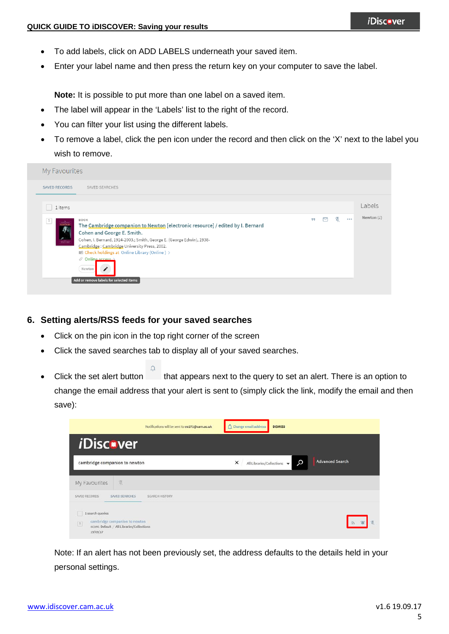- To add labels, click on ADD LABELS underneath your saved item.
- Enter your label name and then press the return key on your computer to save the label.

**Note:** It is possible to put more than one label on a saved item.

- The label will appear in the 'Labels' list to the right of the record.
- You can filter your list using the different labels.
- To remove a label, click the pen icon under the record and then click on the 'X' next to the label you wish to remove.

| My Favourites                                          |                                                                                                                                                                                                                                                                                                                                                                                                     |    |   |   |       |              |
|--------------------------------------------------------|-----------------------------------------------------------------------------------------------------------------------------------------------------------------------------------------------------------------------------------------------------------------------------------------------------------------------------------------------------------------------------------------------------|----|---|---|-------|--------------|
| <b>SAVED RECORDS</b>                                   | SAVED SEARCHES                                                                                                                                                                                                                                                                                                                                                                                      |    |   |   |       |              |
| 1 items                                                |                                                                                                                                                                                                                                                                                                                                                                                                     |    |   |   |       | Labels       |
| $\mathbf{1}$<br><b>NEWTOP</b><br><b>Language Crack</b> | BOOK<br>The Cambridge companion to Newton [electronic resource] / edited by I. Bernard<br>Cohen and George E. Smith.<br>Cohen, I. Bernard, 1914-2003.; Smith, George E. (George Edwin), 1938-<br>Cambridge: Cambridge University Press, 2002.<br><b>ILI Check holdings at Online Library (Online)</b> ><br>$\mathcal O$ Online access $\Delta$<br>Newton<br>Add or remove labels for selected items | 99 | M | ↘ | 0.0.0 | Newton $(1)$ |

- **6. Setting alerts/RSS feeds for your saved searches**
	- Click on the pin icon in the top right corner of the screen
	- Click the saved searches tab to display all of your saved searches.
	- Click the set alert button that appears next to the query to set an alert. There is an option to change the email address that your alert is sent to (simply click the link, modify the email and then save):



Note: If an alert has not been previously set, the address defaults to the details held in your personal settings.